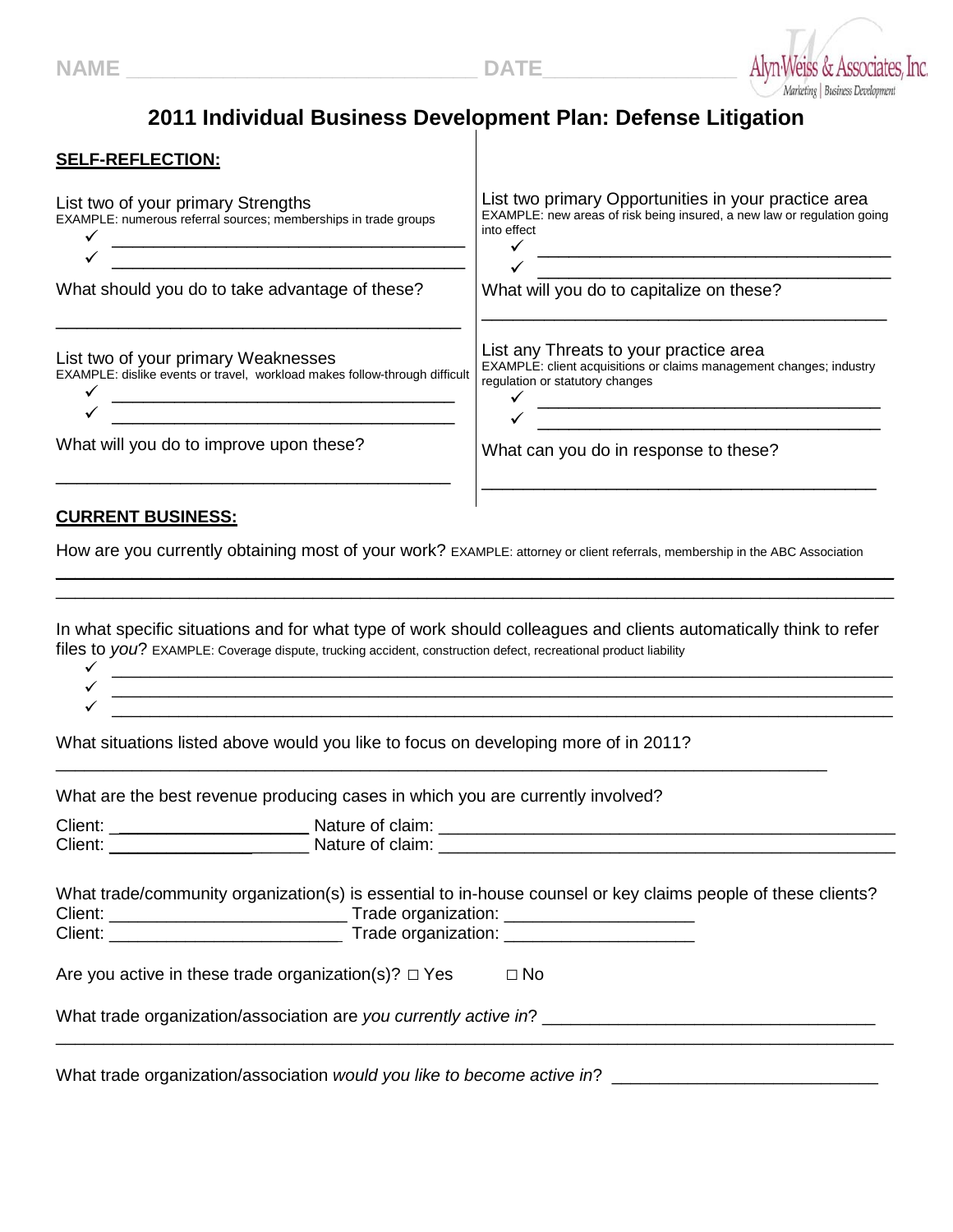

## **2011 Individual Business Development Plan: Defense Litigation**

## **SELF-REFLECTION:**

| List two of your primary Strengths<br>EXAMPLE: numerous referral sources; memberships in trade groups                       | List two primary Opportunities in your practice area<br>EXAMPLE: new areas of risk being insured, a new law or regulation going<br>into effect                                                                                                             |
|-----------------------------------------------------------------------------------------------------------------------------|------------------------------------------------------------------------------------------------------------------------------------------------------------------------------------------------------------------------------------------------------------|
| What should you do to take advantage of these?                                                                              | What will you do to capitalize on these?                                                                                                                                                                                                                   |
| List two of your primary Weaknesses<br>EXAMPLE: dislike events or travel, workload makes follow-through difficult           | List any Threats to your practice area<br>EXAMPLE: client acquisitions or claims management changes; industry<br>regulation or statutory changes<br><u> 2001 - Jan Samuel Alexandria (h. 1888).</u><br>1902 - Johann Barn, politik eta idazlear (h. 1800). |
| What will you do to improve upon these?                                                                                     | What can you do in response to these?                                                                                                                                                                                                                      |
| <b>CURRENT BUSINESS:</b>                                                                                                    |                                                                                                                                                                                                                                                            |
| How are you currently obtaining most of your work? EXAMPLE: attorney or client referrals, membership in the ABC Association |                                                                                                                                                                                                                                                            |

In what specific situations and for what type of work should colleagues and clients automatically think to refer

 $\_$  . The contribution of the contribution of the contribution of the contribution of the contribution of the contribution of the contribution of the contribution of the contribution of the contribution of the contributio \_\_\_\_\_\_\_\_\_\_\_\_\_\_\_\_\_\_\_\_\_\_\_\_\_\_\_\_\_\_\_\_\_\_\_\_\_\_\_\_\_\_\_\_\_\_\_\_\_\_\_\_\_\_\_\_\_\_\_\_\_\_\_\_\_\_\_\_\_\_\_\_\_\_\_\_\_\_\_\_\_\_\_\_\_\_\_\_

files to you? EXAMPLE: Coverage dispute, trucking accident, construction defect, recreational product liability \_\_\_\_\_\_\_\_\_\_\_\_\_\_\_\_\_\_\_\_\_\_\_\_\_\_\_\_\_\_\_\_\_\_\_\_\_\_\_\_\_\_\_\_\_\_\_\_\_\_\_\_\_\_\_\_\_\_\_\_\_\_\_\_\_\_\_\_\_\_\_\_\_\_\_\_\_\_\_\_\_\_  $\mathcal{L}_\text{max} = \mathcal{L}_\text{max} = \mathcal{L}_\text{max} = \mathcal{L}_\text{max} = \mathcal{L}_\text{max} = \mathcal{L}_\text{max} = \mathcal{L}_\text{max} = \mathcal{L}_\text{max} = \mathcal{L}_\text{max} = \mathcal{L}_\text{max} = \mathcal{L}_\text{max} = \mathcal{L}_\text{max} = \mathcal{L}_\text{max} = \mathcal{L}_\text{max} = \mathcal{L}_\text{max} = \mathcal{L}_\text{max} = \mathcal{L}_\text{max} = \mathcal{L}_\text{max} = \mathcal{$ \_\_\_\_\_\_\_\_\_\_\_\_\_\_\_\_\_\_\_\_\_\_\_\_\_\_\_\_\_\_\_\_\_\_\_\_\_\_\_\_\_\_\_\_\_\_\_\_\_\_\_\_\_\_\_\_\_\_\_\_\_\_\_\_\_\_\_\_\_\_\_\_\_\_\_\_\_\_\_\_\_\_

\_\_\_\_\_\_\_\_\_\_\_\_\_\_\_\_\_\_\_\_\_\_\_\_\_\_\_\_\_\_\_\_\_\_\_\_\_\_\_\_\_\_\_\_\_\_\_\_\_\_\_\_\_\_\_\_\_\_\_\_\_\_\_\_\_\_\_\_\_\_\_\_\_\_\_\_\_\_\_\_\_

What situations listed above would you like to focus on developing more of in 2011?

| What are the best revenue producing cases in which you are currently involved?                               |  |
|--------------------------------------------------------------------------------------------------------------|--|
|                                                                                                              |  |
|                                                                                                              |  |
| What trade/community organization(s) is essential to in-house counsel or key claims people of these clients? |  |
| Are you active in these trade organization(s)? $\Box$ Yes<br>$\Box$ No                                       |  |
| What trade organization/association are you currently active in?                                             |  |
|                                                                                                              |  |

What trade organization/association *would you like to become active in*? \_\_\_\_\_\_\_\_\_\_\_\_\_\_\_\_\_\_\_\_\_\_\_\_\_\_\_\_